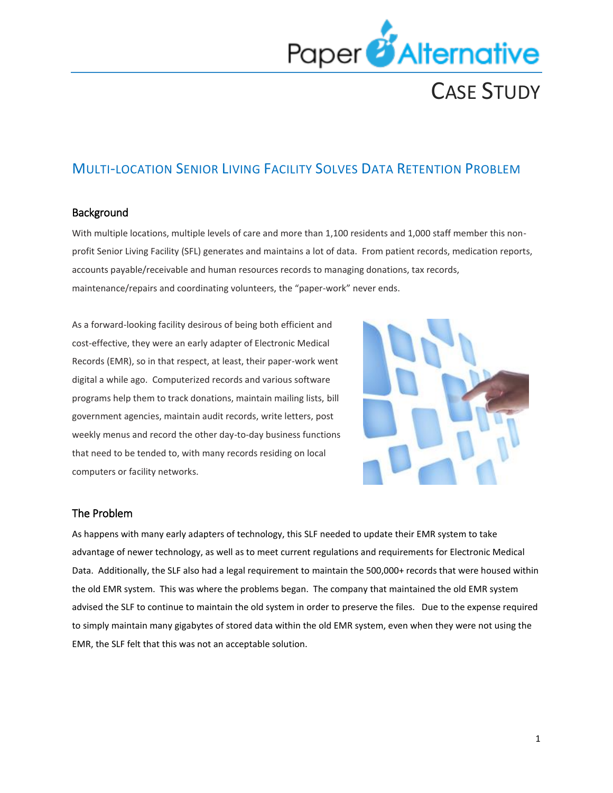

# CASE STUDY

## MULTI-LOCATION SENIOR LIVING FACILITY SOLVES DATA RETENTION PROBLEM

#### **Background**

With multiple locations, multiple levels of care and more than 1,100 residents and 1,000 staff member this nonprofit Senior Living Facility (SFL) generates and maintains a lot of data. From patient records, medication reports, accounts payable/receivable and human resources records to managing donations, tax records, maintenance/repairs and coordinating volunteers, the "paper-work" never ends.

As a forward-looking facility desirous of being both efficient and cost-effective, they were an early adapter of Electronic Medical Records (EMR), so in that respect, at least, their paper-work went digital a while ago. Computerized records and various software programs help them to track donations, maintain mailing lists, bill government agencies, maintain audit records, write letters, post weekly menus and record the other day-to-day business functions that need to be tended to, with many records residing on local computers or facility networks.



#### The Problem

As happens with many early adapters of technology, this SLF needed to update their EMR system to take advantage of newer technology, as well as to meet current regulations and requirements for Electronic Medical Data. Additionally, the SLF also had a legal requirement to maintain the 500,000+ records that were housed within the old EMR system. This was where the problems began. The company that maintained the old EMR system advised the SLF to continue to maintain the old system in order to preserve the files. Due to the expense required to simply maintain many gigabytes of stored data within the old EMR system, even when they were not using the EMR, the SLF felt that this was not an acceptable solution.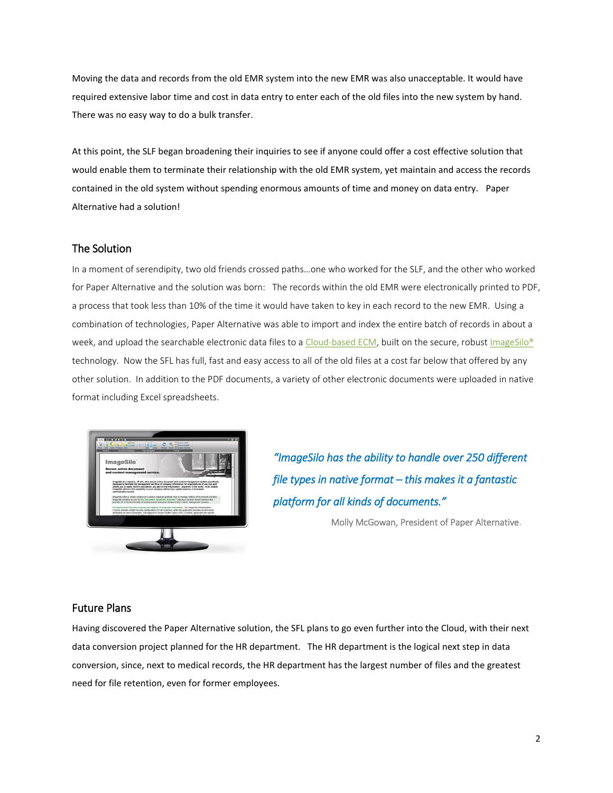Moving the data and records from the old EMR system into the new EMR was also unacceptable. It would have required extensive labor time and cost in data entry to enter each of the old files into the new system by hand. There was no easy way to do a bulk transfer.

At this point, the SLF began broadening their inquiries to see if anyone could offer a cost effective solution that would enable them to terminate their relationship with the old EMR system, yet maintain and access the records contained in the old system without spending enormous amounts of time and money on data entry. Paper Alternative had a solution!

#### The Solution

In a moment of serendipity, two old friends crossed paths…one who worked for the SLF, and the other who worked for Paper Alternative and the solution was born: The records within the old EMR were electronically printed to PDF, a process that took less than 10% of the time it would have taken to key in each record to the new EMR. Using a combination of technologies, Paper Alternative was able to import and index the entire batch of records in about a week, and upload the searchable electronic data files to a [Cloud-based ECM,](http://paperalternative.com/cloud-solutions) built on the secure, robus[t ImageSilo®](http://info.paperalternative.com/blog/imagesilo-the-digital-alternative-for-records-management) technology. Now the SFL has full, fast and easy access to all of the old files at a cost far below that offered by any other solution. In addition to the PDF documents, a variety of other electronic documents were uploaded in native format including Excel spreadsheets.



*"ImageSilo has the ability to handle over 250 different file types in native format – this makes it a fantastic platform for all kinds of documents."* 

Molly McGowan, President of Paper Alternative.

### Future Plans

Having discovered the Paper Alternative solution, the SFL plans to go even further into the Cloud, with their next data conversion project planned for the HR department. The HR department is the logical next step in data conversion, since, next to medical records, the HR department has the largest number of files and the greatest need for file retention, even for former employees.